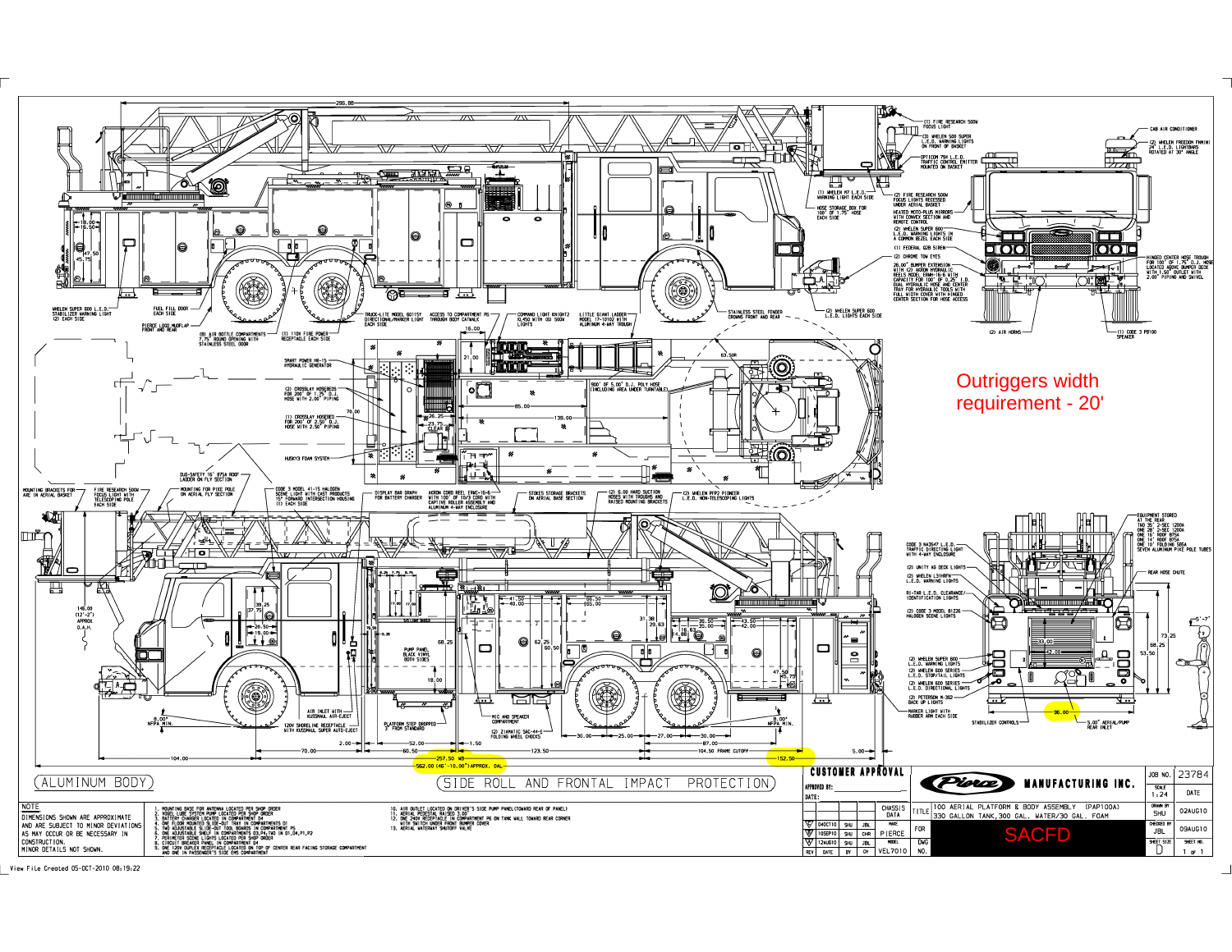

View File Created 05-0CT-2010 08:19:22